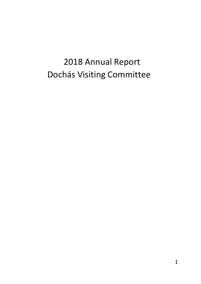# 2018 Annual Report Dochás Visiting Committee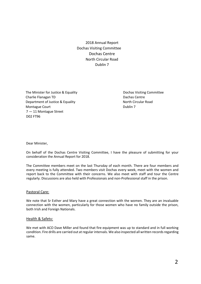2018 Annual Report Dochas Visiting Committee Dochas Centre North Circular Road Dublin 7

The Minister for Justice & Equality **Dochas Visiting Committee** Dochas Visiting Committee Charlie Flanagan TD **Dachas Centre Dachas Centre** Department of Justice & Equality North Circular Road Montague Court **Dublin 7** and Dublin 7 7 — 11 Montague Street D02 FT96

Dear Minister,

On behalf of the Dochas Centre Visiting Committee, I have the pleasure of submitting for your consideration the Annual Report for 2018.

The Committee members meet on the last Thursday of each month. There are four members and every meeting is fully attended. Two members visit Dochas every week, meet with the women and report back to the Committee with their concerns. We also meet with staff and tour the Centre regularly. Discussions are also held with Professionais and non-Professional staff in the prison.

#### Pastoral Care:

We note that Sr Esther and Mary have a great connection with the women. They are an invaluable connection with the women, particularly for those women who have no family outside the prison, both Irish and Foreign Nationals.

#### Health & Safetv:

We met with ACO Dave Miller and found that fire equipment was up to standard and in full working condition. Fire drills are carried out at regular intervals. We also inspected all written records regarding same.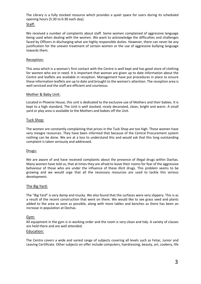The Library is a fully stocked resource which provides a quiet space for users during its scheduled opening hours (5:30 to 6:30 each day).

## Staff:

We received a number of complaints about staff. Some women complained of aggressive language being used when dealing with the women. We want to acknowledge the difficulties and challenges faced by Officers in discharging what are highly responsible duties. However, there can never be any justification for the uneven treatment of certain women or the use of aggressive bullying language towards them.

## Reception:

This area which is a woman's first contact with the Centre is well kept and has good store of clothing for women who are in need. It is important that woman are given up to date information about the Centre and leaflets are available in reception. Management have put procedures in place to ensure these information leaflets are up to date and brought to the women's attention. The reception area is well serviced and the staff are efficient and courteous.

## Mother & Baby Unit:

Located in Phoenix House, this unit is dedicated to the exclusive use of Mothers and their babies. It is kept to a high standard. The Unit is well stocked, nicely decorated, clean, bright and warm. A small yard or play area is available to the Mothers and babies off the Unit.

## Tuck Shop:

The women are constantly complaining that prices in the Tuck Shop are too high. These women have very meagre resources. They have been informed that because of the Central Procurement system nothing can be done. We are at a loss to understand this and would ask that this long outstanding complaint is taken seriously and addressed.

#### Drugs:

We are aware of and have received complaints about the presence of illegal drugs within Dachas. Many women have told us, that at times they are afraid to leave their rooms for fear of the aggressive behaviour of those who are under the influence of these illicit drugs. This problem seems to be growing and we would urge that all the necessary resources are used to tackle this serious development.

#### The Big Yard:

The "Big Yard" is very damp and mucky. We also found that the surfaces were very slippery. This is as a result of the recent construction that went on there. We would like to see grass seed and plants added to the area as soon as possible, along with more tables and benches as there has been an increase in population at Dochas.

## Gym:

All equipment in the gym is in working order and the room is very clean and tidy. A variety of classes are held there and are well attended.

#### Education:

The Centre covers a wide and varied range of subjects covering all levels such as Fetac, Junior and Leaving Certificate. Other subjects on offer include computers, hairdressing, beauty, art, cookery, life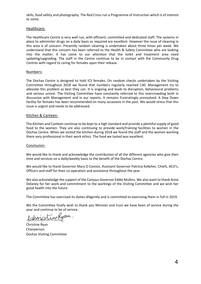skills, food safety and photography. The Red Cross run a Programme of Instruction which is of interest to some.

#### Healthcare:

The Healthcare Centre is very well run, with efficient, committed and dedicated staff. The systems in place to administer drugs on a daily basis as required are excellent. However the issue of cleaning in this area is of concern. Presently random cleaning is undertaken about three times per week. We understand that this concern has been referred to the Health & Safety Committee who are looking into the matter. It has come to our attention that the toilet and treatment area need updating/upgrading. The staff in the Centre continue to be in contact with the Community Drug Centres with regard to caring for females upon their release.

## Numbers:

The Dochas Centre is designed to hold ICS females. On random checks undertaken by the Visiting Committee throughout 2018 we found that numbers regularly reached 130. Management try to alleviate this problem as best they can. It is ongoing and leads to disruption, behavioural problems and serious unrest. The Visiting Committee have constantly referred to this overcrowding both in discussion with Management and in our reports. It remains frustratingly unresolved. A Step Down facility for females has been recommended on many occasions in the past. We would stress that this issue is urgent and needs to be addressed.

## Kitchen & Canteen:

The Kitchen and Canteen continue to be kept to a high standard and provide a plentiful supply of good food to the women. They are also continuing to provide work/training facilities to women in the Dochas Centre. When we visited the kitchen during 2018 we found the staff and the women working there very professional in their work ethics. The food we tasted was excellent.

#### Conclusion:

We would like to thank and acknowledge the contribution of all the different agencies who give their time and services on a daily/weekly basis to the benefit of the Dochas Centre.

We would like to thank Governor Mary O Connor, Assistant Governor Patricia Kelleher, Chiefs, ACO's, Officers and staff for their co-operation and assistance throughout the year.

We also acknowledge the support of the Campus Governor Eddie Mullins. We also want to thank Anne Delaney for her work and commitment to the workings of the Visiting Committee and we wish her good health into the future.

The Committee has exercised its duties diligently and is committed to exercising them in full in 2019.

We the Committee finally wish to thank you Minister and trust we have been of service during the year and continue to be of service.

stingKyan

Christine Ryan Chairperson Dochas Visiting Committee